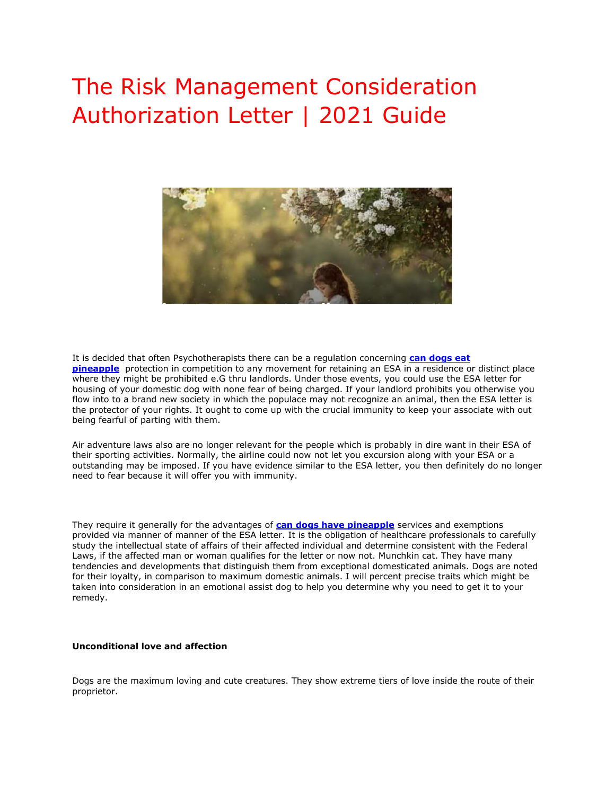# The Risk Management Consideration Authorization Letter | 2021 Guide



It is decided that often Psychotherapists there can be a regulation concerning **[can dogs eat](https://www.realesaletter.com/blog/can-dogs-eat-pineapple)  [pineapple](https://www.realesaletter.com/blog/can-dogs-eat-pineapple)** protection in competition to any movement for retaining an ESA in a residence or distinct place where they might be prohibited e.G thru landlords. Under those events, you could use the ESA letter for housing of your domestic dog with none fear of being charged. If your landlord prohibits you otherwise you flow into to a brand new society in which the populace may not recognize an animal, then the ESA letter is the protector of your rights. It ought to come up with the crucial immunity to keep your associate with out being fearful of parting with them.

Air adventure laws also are no longer relevant for the people which is probably in dire want in their ESA of their sporting activities. Normally, the airline could now not let you excursion along with your ESA or a outstanding may be imposed. If you have evidence similar to the ESA letter, you then definitely do no longer need to fear because it will offer you with immunity.

They require it generally for the advantages of **[can dogs have pineapple](https://www.realesaletter.com/blog/can-dogs-eat-pineapple)** services and exemptions provided via manner of manner of the ESA letter. It is the obligation of healthcare professionals to carefully study the intellectual state of affairs of their affected individual and determine consistent with the Federal Laws, if the affected man or woman qualifies for the letter or now not. Munchkin cat. They have many tendencies and developments that distinguish them from exceptional domesticated animals. Dogs are noted for their loyalty, in comparison to maximum domestic animals. I will percent precise traits which might be taken into consideration in an emotional assist dog to help you determine why you need to get it to your remedy.

### **Unconditional love and affection**

Dogs are the maximum loving and cute creatures. They show extreme tiers of love inside the route of their proprietor.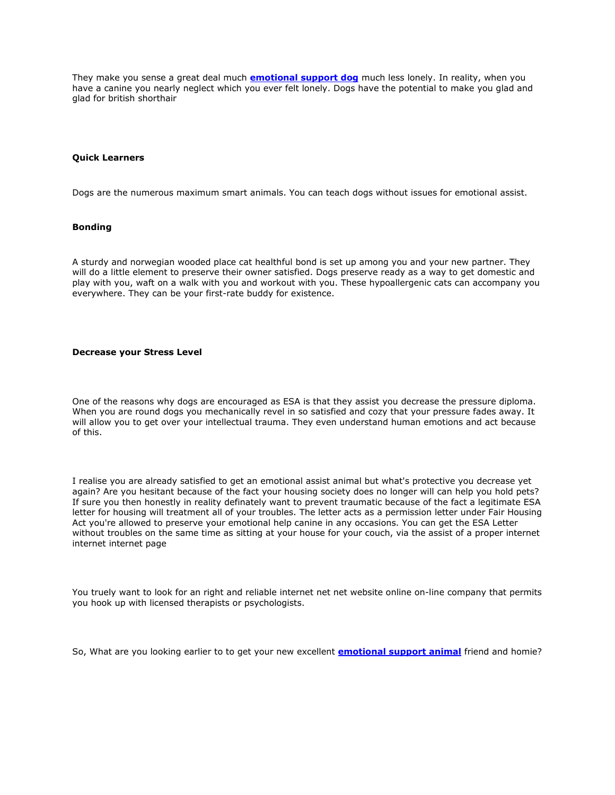They make you sense a great deal much **[emotional support dog](https://www.realesaletter.com/blog/emotional-support-dog-traininghttps:/www.realesaletter.com/blog/emotional-support-dog-training)** much less lonely. In reality, when you have a canine you nearly neglect which you ever felt lonely. Dogs have the potential to make you glad and glad for british shorthair

## **Quick Learners**

Dogs are the numerous maximum smart animals. You can teach dogs without issues for emotional assist.

## **Bonding**

A sturdy and norwegian wooded place cat healthful bond is set up among you and your new partner. They will do a little element to preserve their owner satisfied. Dogs preserve ready as a way to get domestic and play with you, waft on a walk with you and workout with you. These hypoallergenic cats can accompany you everywhere. They can be your first-rate buddy for existence.

### **Decrease your Stress Level**

One of the reasons why dogs are encouraged as ESA is that they assist you decrease the pressure diploma. When you are round dogs you mechanically revel in so satisfied and cozy that your pressure fades away. It will allow you to get over your intellectual trauma. They even understand human emotions and act because of this.

I realise you are already satisfied to get an emotional assist animal but what's protective you decrease yet again? Are you hesitant because of the fact your housing society does no longer will can help you hold pets? If sure you then honestly in reality definately want to prevent traumatic because of the fact a legitimate ESA letter for housing will treatment all of your troubles. The letter acts as a permission letter under Fair Housing Act you're allowed to preserve your emotional help canine in any occasions. You can get the ESA Letter without troubles on the same time as sitting at your house for your couch, via the assist of a proper internet internet internet page

You truely want to look for an right and reliable internet net net website online on-line company that permits you hook up with licensed therapists or psychologists.

So, What are you looking earlier to to get your new excellent **[emotional support animal](https://www.realesaletter.com/sample-esa-letter)** friend and homie?